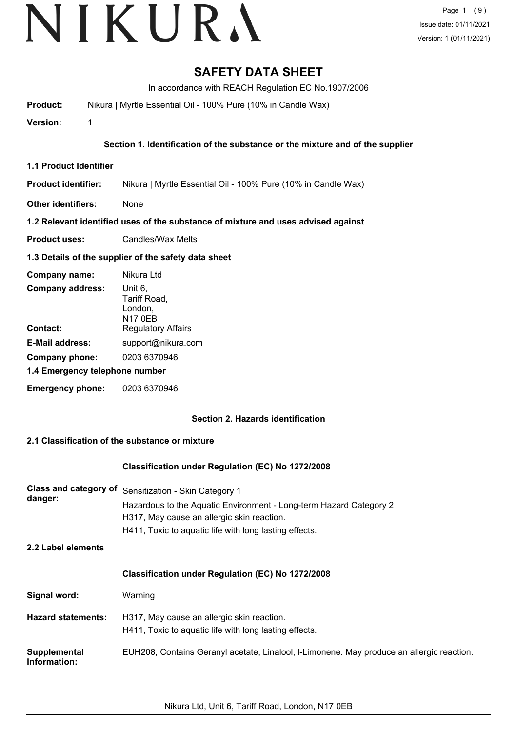### **SAFETY DATA SHEET**

In accordance with REACH Regulation EC No.1907/2006

**Product:** Nikura | Myrtle Essential Oil - 100% Pure (10% in Candle Wax)

**Version:** 1

**Section 1. Identification of the substance or the mixture and of the supplier**

**1.1 Product Identifier**

**Product identifier:** Nikura | Myrtle Essential Oil - 100% Pure (10% in Candle Wax)

**Other identifiers:** None

#### **1.2 Relevant identified uses of the substance of mixture and uses advised against**

**Product uses:** Candles/Wax Melts

#### **1.3 Details of the supplier of the safety data sheet**

| Company name:                  | Nikura Ltd                                           |
|--------------------------------|------------------------------------------------------|
| <b>Company address:</b>        | Unit 6,<br>Tariff Road,<br>London,<br><b>N17 0EB</b> |
| Contact:                       | <b>Regulatory Affairs</b>                            |
| <b>E-Mail address:</b>         | support@nikura.com                                   |
| Company phone:                 | 0203 6370946                                         |
| 1.4 Emergency telephone number |                                                      |
| <b>Emergency phone:</b>        | 0203 6370946                                         |

#### **Section 2. Hazards identification**

#### **2.1 Classification of the substance or mixture**

#### **Classification under Regulation (EC) No 1272/2008**

| Class and category of<br>danger: | Sensitization - Skin Category 1<br>Hazardous to the Aquatic Environment - Long-term Hazard Category 2<br>H317, May cause an allergic skin reaction.<br>H411, Toxic to aquatic life with long lasting effects. |  |
|----------------------------------|---------------------------------------------------------------------------------------------------------------------------------------------------------------------------------------------------------------|--|
| 2.2 Label elements               |                                                                                                                                                                                                               |  |
|                                  | Classification under Regulation (EC) No 1272/2008                                                                                                                                                             |  |
| Signal word:                     | Warning                                                                                                                                                                                                       |  |
| <b>Hazard statements:</b>        | H317, May cause an allergic skin reaction.<br>H411, Toxic to aquatic life with long lasting effects.                                                                                                          |  |
| Supplemental<br>Information:     | EUH208, Contains Geranyl acetate, Linalool, I-Limonene. May produce an allergic reaction.                                                                                                                     |  |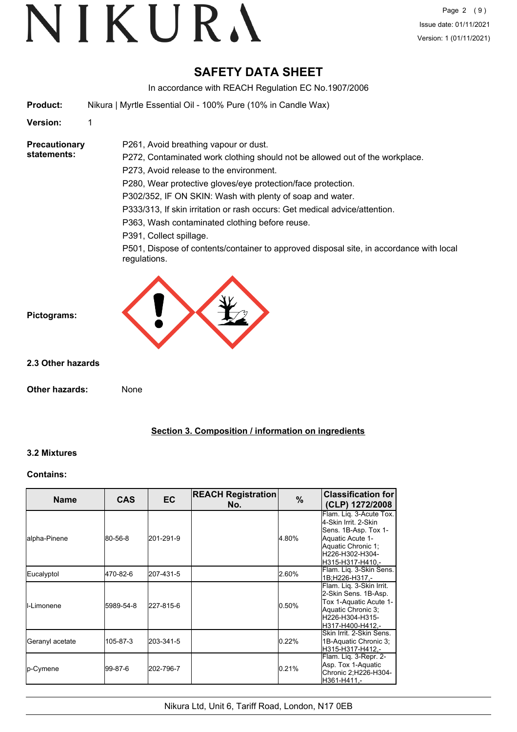# VIKURA

### **SAFETY DATA SHEET**

In accordance with REACH Regulation EC No.1907/2006

**Product:** Nikura | Myrtle Essential Oil - 100% Pure (10% in Candle Wax)

**Version:** 1

**Precautionary statements:**

P272, Contaminated work clothing should not be allowed out of the workplace.

P273, Avoid release to the environment.

P261, Avoid breathing vapour or dust.

P280, Wear protective gloves/eye protection/face protection.

P302/352, IF ON SKIN: Wash with plenty of soap and water.

P333/313, If skin irritation or rash occurs: Get medical advice/attention.

P363, Wash contaminated clothing before reuse.

P391, Collect spillage.

P501, Dispose of contents/container to approved disposal site, in accordance with local regulations.



**2.3 Other hazards**

**Pictograms:**

**Other hazards:** None

# **Section 3. Composition / information on ingredients**

#### **3.2 Mixtures**

#### **Contains:**

| <b>Name</b>     | <b>CAS</b> | <b>EC</b> | <b>REACH Registration</b><br>No. | $\%$  | <b>Classification for</b><br>(CLP) 1272/2008                                                                                                               |
|-----------------|------------|-----------|----------------------------------|-------|------------------------------------------------------------------------------------------------------------------------------------------------------------|
| lalpha-Pinene   | 80-56-8    | 201-291-9 |                                  | 4.80% | Flam. Lig. 3-Acute Tox.<br>4-Skin Irrit, 2-Skin<br>Sens. 1B-Asp. Tox 1-<br>Aquatic Acute 1-<br>Aquatic Chronic 1;<br>lH226-H302-H304-<br>lH315-H317-H410.- |
| Eucalyptol      | 470-82-6   | 207-431-5 |                                  | 2.60% | Flam. Liq. 3-Skin Sens.<br>1B;H226-H317,-                                                                                                                  |
| II-I imonene    | 5989-54-8  | 227-815-6 |                                  | 0.50% | Flam. Liq. 3-Skin Irrit.<br>2-Skin Sens. 1B-Asp.<br>Tox 1-Aquatic Acute 1-<br>Aquatic Chronic 3;<br>H226-H304-H315-<br>H317-H400-H412.-                    |
| Geranyl acetate | 105-87-3   | 203-341-5 |                                  | 0.22% | Skin Irrit, 2-Skin Sens.<br>1B-Aquatic Chronic 3;<br>H315-H317-H412.-                                                                                      |
| <b>p-Cymene</b> | 99-87-6    | 202-796-7 |                                  | 0.21% | Flam. Liq. 3-Repr. 2-<br>Asp. Tox 1-Aquatic<br>Chronic 2;H226-H304-<br>H361-H411.-                                                                         |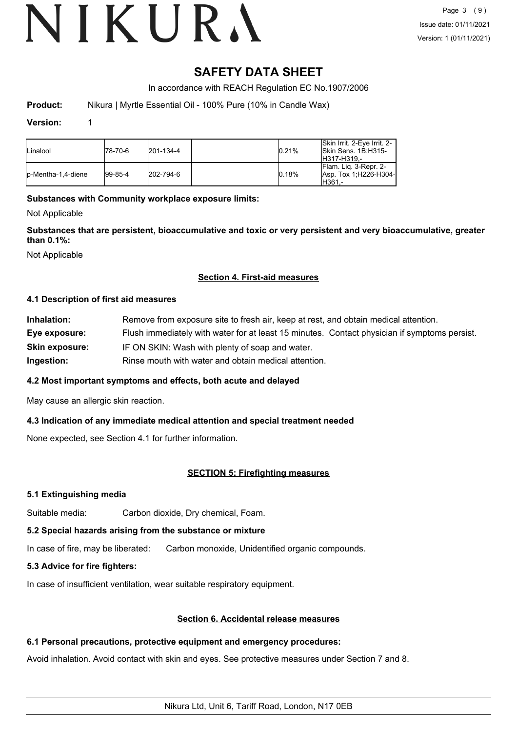# VIKURA

### **SAFETY DATA SHEET**

In accordance with REACH Regulation EC No.1907/2006

**Product:** Nikura | Myrtle Essential Oil - 100% Pure (10% in Candle Wax)

#### **Version:** 1

| <b>Linalool</b>     | 178-70-6    | $ 201 - 134 - 4 $ | 0.21% | Skin Irrit, 2-Eve Irrit, 2-<br>Skin Sens. 1B:H315-<br>IH317-H319.- |
|---------------------|-------------|-------------------|-------|--------------------------------------------------------------------|
| lp-Mentha-1.4-diene | $ 99-85-4 $ | 202-794-6         | 0.18% | IFlam. Lig. 3-Repr. 2-<br>Asp. Tox 1:H226-H304-<br>IH361.-         |

#### **Substances with Community workplace exposure limits:**

Not Applicable

**Substances that are persistent, bioaccumulative and toxic or very persistent and very bioaccumulative, greater than 0.1%:**

Not Applicable

#### **Section 4. First-aid measures**

#### **4.1 Description of first aid measures**

| Inhalation:           | Remove from exposure site to fresh air, keep at rest, and obtain medical attention.          |
|-----------------------|----------------------------------------------------------------------------------------------|
| Eye exposure:         | Flush immediately with water for at least 15 minutes. Contact physician if symptoms persist. |
| <b>Skin exposure:</b> | IF ON SKIN: Wash with plenty of soap and water.                                              |
| Ingestion:            | Rinse mouth with water and obtain medical attention.                                         |

#### **4.2 Most important symptoms and effects, both acute and delayed**

May cause an allergic skin reaction.

#### **4.3 Indication of any immediate medical attention and special treatment needed**

None expected, see Section 4.1 for further information.

#### **SECTION 5: Firefighting measures**

#### **5.1 Extinguishing media**

Suitable media: Carbon dioxide, Dry chemical, Foam.

### **5.2 Special hazards arising from the substance or mixture**

In case of fire, may be liberated: Carbon monoxide, Unidentified organic compounds.

### **5.3 Advice for fire fighters:**

In case of insufficient ventilation, wear suitable respiratory equipment.

### **Section 6. Accidental release measures**

### **6.1 Personal precautions, protective equipment and emergency procedures:**

Avoid inhalation. Avoid contact with skin and eyes. See protective measures under Section 7 and 8.

Nikura Ltd, Unit 6, Tariff Road, London, N17 0EB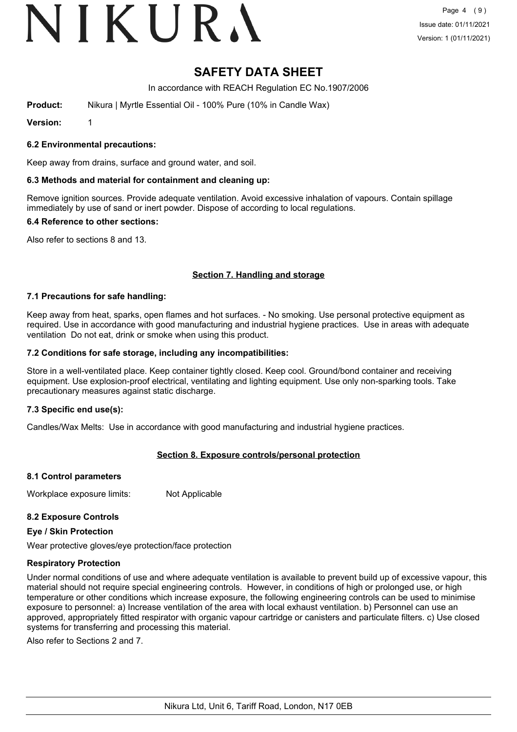# VIKURA

### **SAFETY DATA SHEET**

In accordance with REACH Regulation EC No.1907/2006

**Product:** Nikura | Myrtle Essential Oil - 100% Pure (10% in Candle Wax)

**Version:** 1

#### **6.2 Environmental precautions:**

Keep away from drains, surface and ground water, and soil.

#### **6.3 Methods and material for containment and cleaning up:**

Remove ignition sources. Provide adequate ventilation. Avoid excessive inhalation of vapours. Contain spillage immediately by use of sand or inert powder. Dispose of according to local regulations.

#### **6.4 Reference to other sections:**

Also refer to sections 8 and 13.

#### **Section 7. Handling and storage**

#### **7.1 Precautions for safe handling:**

Keep away from heat, sparks, open flames and hot surfaces. - No smoking. Use personal protective equipment as required. Use in accordance with good manufacturing and industrial hygiene practices. Use in areas with adequate ventilation Do not eat, drink or smoke when using this product.

#### **7.2 Conditions for safe storage, including any incompatibilities:**

Store in a well-ventilated place. Keep container tightly closed. Keep cool. Ground/bond container and receiving equipment. Use explosion-proof electrical, ventilating and lighting equipment. Use only non-sparking tools. Take precautionary measures against static discharge.

#### **7.3 Specific end use(s):**

Candles/Wax Melts: Use in accordance with good manufacturing and industrial hygiene practices.

#### **Section 8. Exposure controls/personal protection**

#### **8.1 Control parameters**

Workplace exposure limits: Not Applicable

#### **8.2 Exposure Controls**

#### **Eye / Skin Protection**

Wear protective gloves/eye protection/face protection

#### **Respiratory Protection**

Under normal conditions of use and where adequate ventilation is available to prevent build up of excessive vapour, this material should not require special engineering controls. However, in conditions of high or prolonged use, or high temperature or other conditions which increase exposure, the following engineering controls can be used to minimise exposure to personnel: a) Increase ventilation of the area with local exhaust ventilation. b) Personnel can use an approved, appropriately fitted respirator with organic vapour cartridge or canisters and particulate filters. c) Use closed systems for transferring and processing this material.

Also refer to Sections 2 and 7.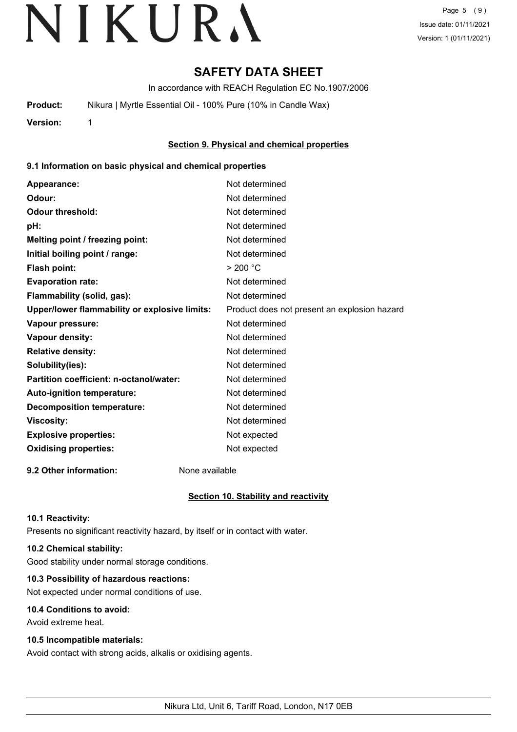# **SAFETY DATA SHEET**

In accordance with REACH Regulation EC No.1907/2006

**Product:** Nikura | Myrtle Essential Oil - 100% Pure (10% in Candle Wax)

**Version:** 1

#### **Section 9. Physical and chemical properties**

#### **9.1 Information on basic physical and chemical properties**

| Appearance:                                   | Not determined                               |
|-----------------------------------------------|----------------------------------------------|
| Odour:                                        | Not determined                               |
| <b>Odour threshold:</b>                       | Not determined                               |
| pH:                                           | Not determined                               |
| Melting point / freezing point:               | Not determined                               |
| Initial boiling point / range:                | Not determined                               |
| Flash point:                                  | > 200 °C                                     |
| <b>Evaporation rate:</b>                      | Not determined                               |
| Flammability (solid, gas):                    | Not determined                               |
| Upper/lower flammability or explosive limits: | Product does not present an explosion hazard |
| Vapour pressure:                              | Not determined                               |
| <b>Vapour density:</b>                        | Not determined                               |
| <b>Relative density:</b>                      | Not determined                               |
| Solubility(ies):                              | Not determined                               |
| Partition coefficient: n-octanol/water:       | Not determined                               |
| Auto-ignition temperature:                    | Not determined                               |
| <b>Decomposition temperature:</b>             | Not determined                               |
| <b>Viscosity:</b>                             | Not determined                               |
| <b>Explosive properties:</b>                  | Not expected                                 |
| <b>Oxidising properties:</b>                  | Not expected                                 |
|                                               |                                              |

**9.2 Other information:** None available

#### **Section 10. Stability and reactivity**

#### **10.1 Reactivity:**

Presents no significant reactivity hazard, by itself or in contact with water.

#### **10.2 Chemical stability:**

Good stability under normal storage conditions.

#### **10.3 Possibility of hazardous reactions:**

Not expected under normal conditions of use.

#### **10.4 Conditions to avoid:**

Avoid extreme heat.

#### **10.5 Incompatible materials:**

Avoid contact with strong acids, alkalis or oxidising agents.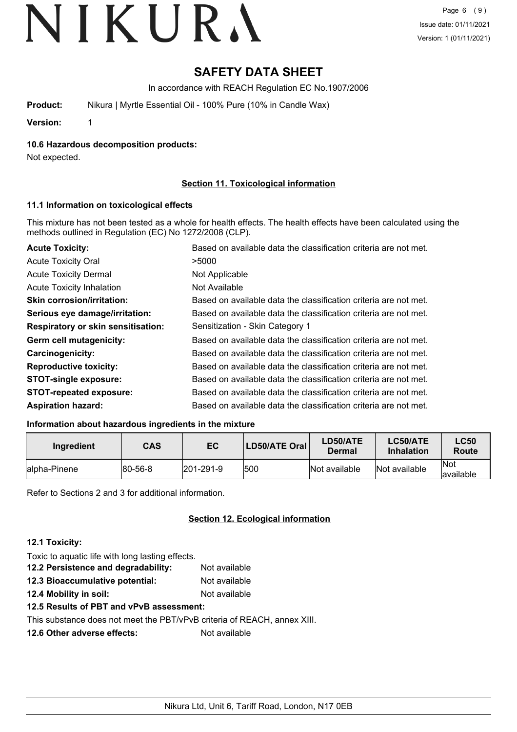# **SAFETY DATA SHEET**

In accordance with REACH Regulation EC No.1907/2006

**Product:** Nikura | Myrtle Essential Oil - 100% Pure (10% in Candle Wax)

**Version:** 1

**10.6 Hazardous decomposition products:**

Not expected.

#### **Section 11. Toxicological information**

#### **11.1 Information on toxicological effects**

This mixture has not been tested as a whole for health effects. The health effects have been calculated using the methods outlined in Regulation (EC) No 1272/2008 (CLP).

| <b>Acute Toxicity:</b>                    | Based on available data the classification criteria are not met. |
|-------------------------------------------|------------------------------------------------------------------|
| <b>Acute Toxicity Oral</b>                | >5000                                                            |
| <b>Acute Toxicity Dermal</b>              | Not Applicable                                                   |
| <b>Acute Toxicity Inhalation</b>          | Not Available                                                    |
| <b>Skin corrosion/irritation:</b>         | Based on available data the classification criteria are not met. |
| Serious eye damage/irritation:            | Based on available data the classification criteria are not met. |
| <b>Respiratory or skin sensitisation:</b> | Sensitization - Skin Category 1                                  |
| Germ cell mutagenicity:                   | Based on available data the classification criteria are not met. |
| <b>Carcinogenicity:</b>                   | Based on available data the classification criteria are not met. |
| <b>Reproductive toxicity:</b>             | Based on available data the classification criteria are not met. |
| <b>STOT-single exposure:</b>              | Based on available data the classification criteria are not met. |
| <b>STOT-repeated exposure:</b>            | Based on available data the classification criteria are not met. |
| <b>Aspiration hazard:</b>                 | Based on available data the classification criteria are not met. |

#### **Information about hazardous ingredients in the mixture**

| Ingredient    | CAS             | EC                | LD50/ATE Oral | LD50/ATE<br>Dermal | LC50/ATE<br><b>Inhalation</b> | <b>LC50</b><br>Route     |
|---------------|-----------------|-------------------|---------------|--------------------|-------------------------------|--------------------------|
| lalpha-Pinene | $ 80 - 56 - 8 $ | $ 201 - 291 - 9 $ | 500           | Not available      | Not available                 | <b>Not</b><br>lavailable |

Refer to Sections 2 and 3 for additional information.

#### **Section 12. Ecological information**

#### **12.1 Toxicity:**

| Toxic to aquatic life with long lasting effects. |               |
|--------------------------------------------------|---------------|
| 12.2 Persistence and degradability:              | Not available |
| 12.3 Bioaccumulative potential:                  | Not available |

- **12.4 Mobility in soil:** Not available
- **12.5 Results of PBT and vPvB assessment:**

This substance does not meet the PBT/vPvB criteria of REACH, annex XIII.

**12.6 Other adverse effects:** Not available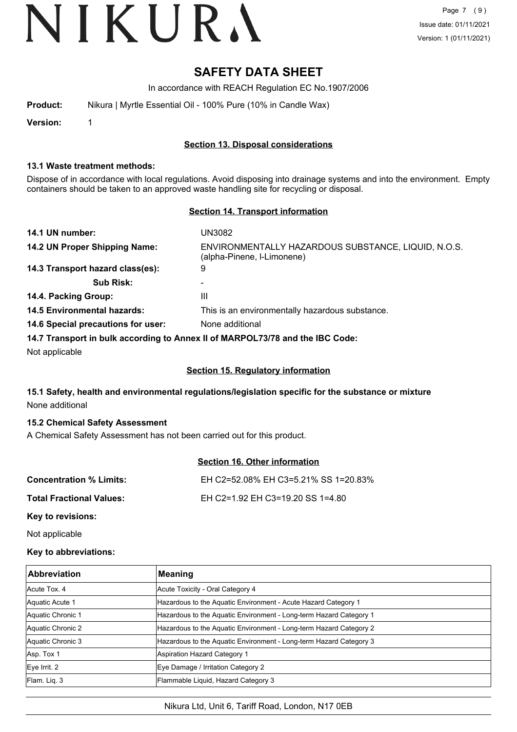### **SAFETY DATA SHEET**

In accordance with REACH Regulation EC No.1907/2006

| <b>Product:</b> |  | Nikura   Myrtle Essential Oil - 100% Pure (10% in Candle Wax) |  |
|-----------------|--|---------------------------------------------------------------|--|
|-----------------|--|---------------------------------------------------------------|--|

**Version:** 1

#### **Section 13. Disposal considerations**

#### **13.1 Waste treatment methods:**

Dispose of in accordance with local regulations. Avoid disposing into drainage systems and into the environment. Empty containers should be taken to an approved waste handling site for recycling or disposal.

#### **Section 14. Transport information**

| 14.1 UN number:                    | UN3082                                                                            |
|------------------------------------|-----------------------------------------------------------------------------------|
| 14.2 UN Proper Shipping Name:      | ENVIRONMENTALLY HAZARDOUS SUBSTANCE, LIQUID, N.O.S.<br>(alpha-Pinene, I-Limonene) |
| 14.3 Transport hazard class(es):   | 9                                                                                 |
| <b>Sub Risk:</b>                   | $\blacksquare$                                                                    |
| 14.4. Packing Group:               | Ш                                                                                 |
| <b>14.5 Environmental hazards:</b> | This is an environmentally hazardous substance.                                   |
| 14.6 Special precautions for user: | None additional                                                                   |
|                                    | 14.7 Transport in bulk according to Anney II of MARPOI 73/78 and the IRC Code:    |

**14.7 Transport in bulk according to Annex II of MARPOL73/78 and the IBC Code:**

Not applicable

#### **Section 15. Regulatory information**

#### **15.1 Safety, health and environmental regulations/legislation specific for the substance or mixture** None additional

#### **15.2 Chemical Safety Assessment**

A Chemical Safety Assessment has not been carried out for this product.

#### **Section 16. Other information**

| <b>Concentration % Limits:</b>  | EH C2=52.08% EH C3=5.21% SS 1=20.83% |
|---------------------------------|--------------------------------------|
| <b>Total Fractional Values:</b> | EH C2=1.92 EH C3=19.20 SS 1=4.80     |
|                                 |                                      |

**Key to revisions:**

Not applicable

#### **Key to abbreviations:**

| <b>Abbreviation</b> | Meaning                                                            |
|---------------------|--------------------------------------------------------------------|
| Acute Tox. 4        | Acute Toxicity - Oral Category 4                                   |
| Aquatic Acute 1     | Hazardous to the Aquatic Environment - Acute Hazard Category 1     |
| Aquatic Chronic 1   | Hazardous to the Aquatic Environment - Long-term Hazard Category 1 |
| Aquatic Chronic 2   | Hazardous to the Aquatic Environment - Long-term Hazard Category 2 |
| Aquatic Chronic 3   | Hazardous to the Aquatic Environment - Long-term Hazard Category 3 |
| Asp. Tox 1          | Aspiration Hazard Category 1                                       |
| Eye Irrit. 2        | Eye Damage / Irritation Category 2                                 |
| Flam. Liq. 3        | Flammable Liquid, Hazard Category 3                                |

Nikura Ltd, Unit 6, Tariff Road, London, N17 0EB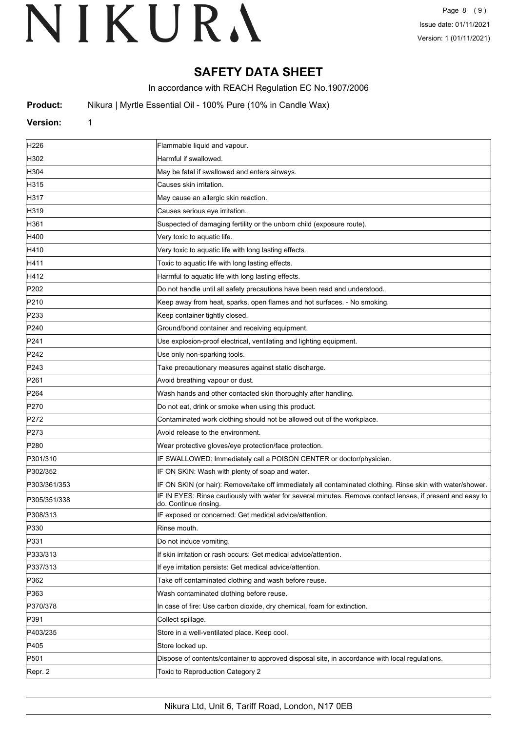# **SAFETY DATA SHEET**

In accordance with REACH Regulation EC No.1907/2006

**Product:** Nikura | Myrtle Essential Oil - 100% Pure (10% in Candle Wax)

#### **Version:** 1

| H <sub>226</sub> | Flammable liquid and vapour.                                                                                                        |
|------------------|-------------------------------------------------------------------------------------------------------------------------------------|
| H302             | Harmful if swallowed.                                                                                                               |
| H304             | May be fatal if swallowed and enters airways.                                                                                       |
| H315             | Causes skin irritation.                                                                                                             |
| H317             | May cause an allergic skin reaction.                                                                                                |
| H319             | Causes serious eye irritation.                                                                                                      |
| H361             | Suspected of damaging fertility or the unborn child (exposure route).                                                               |
| H400             | Very toxic to aquatic life.                                                                                                         |
| H410             | Very toxic to aquatic life with long lasting effects.                                                                               |
| H411             | Toxic to aquatic life with long lasting effects.                                                                                    |
| H412             | Harmful to aquatic life with long lasting effects.                                                                                  |
| P202             | Do not handle until all safety precautions have been read and understood.                                                           |
| P210             | Keep away from heat, sparks, open flames and hot surfaces. - No smoking.                                                            |
| P233             | Keep container tightly closed.                                                                                                      |
| P240             | Ground/bond container and receiving equipment.                                                                                      |
| P241             | Use explosion-proof electrical, ventilating and lighting equipment.                                                                 |
| P <sub>242</sub> | Use only non-sparking tools.                                                                                                        |
| P243             | Take precautionary measures against static discharge.                                                                               |
| P261             | Avoid breathing vapour or dust.                                                                                                     |
| P <sub>264</sub> | Wash hands and other contacted skin thoroughly after handling.                                                                      |
| P270             | Do not eat, drink or smoke when using this product.                                                                                 |
| P272             | Contaminated work clothing should not be allowed out of the workplace.                                                              |
| P273             | Avoid release to the environment.                                                                                                   |
| P <sub>280</sub> | Wear protective gloves/eye protection/face protection.                                                                              |
| P301/310         | IF SWALLOWED: Immediately call a POISON CENTER or doctor/physician.                                                                 |
| P302/352         | IF ON SKIN: Wash with plenty of soap and water.                                                                                     |
| P303/361/353     | IF ON SKIN (or hair): Remove/take off immediately all contaminated clothing. Rinse skin with water/shower.                          |
| P305/351/338     | IF IN EYES: Rinse cautiously with water for several minutes. Remove contact lenses, if present and easy to<br>do. Continue rinsing. |
| P308/313         | IF exposed or concerned: Get medical advice/attention.                                                                              |
| P330             | Rinse mouth.                                                                                                                        |
| P331             | Do not induce vomiting.                                                                                                             |
| P333/313         | If skin irritation or rash occurs: Get medical advice/attention.                                                                    |
| P337/313         | If eye irritation persists: Get medical advice/attention.                                                                           |
| P362             | Take off contaminated clothing and wash before reuse.                                                                               |
| P363             | Wash contaminated clothing before reuse.                                                                                            |
| P370/378         | In case of fire: Use carbon dioxide, dry chemical, foam for extinction.                                                             |
| P391             | Collect spillage.                                                                                                                   |
| P403/235         | Store in a well-ventilated place. Keep cool.                                                                                        |
| P405             | Store locked up.                                                                                                                    |
| P501             | Dispose of contents/container to approved disposal site, in accordance with local regulations.                                      |
| Repr. 2          | Toxic to Reproduction Category 2                                                                                                    |